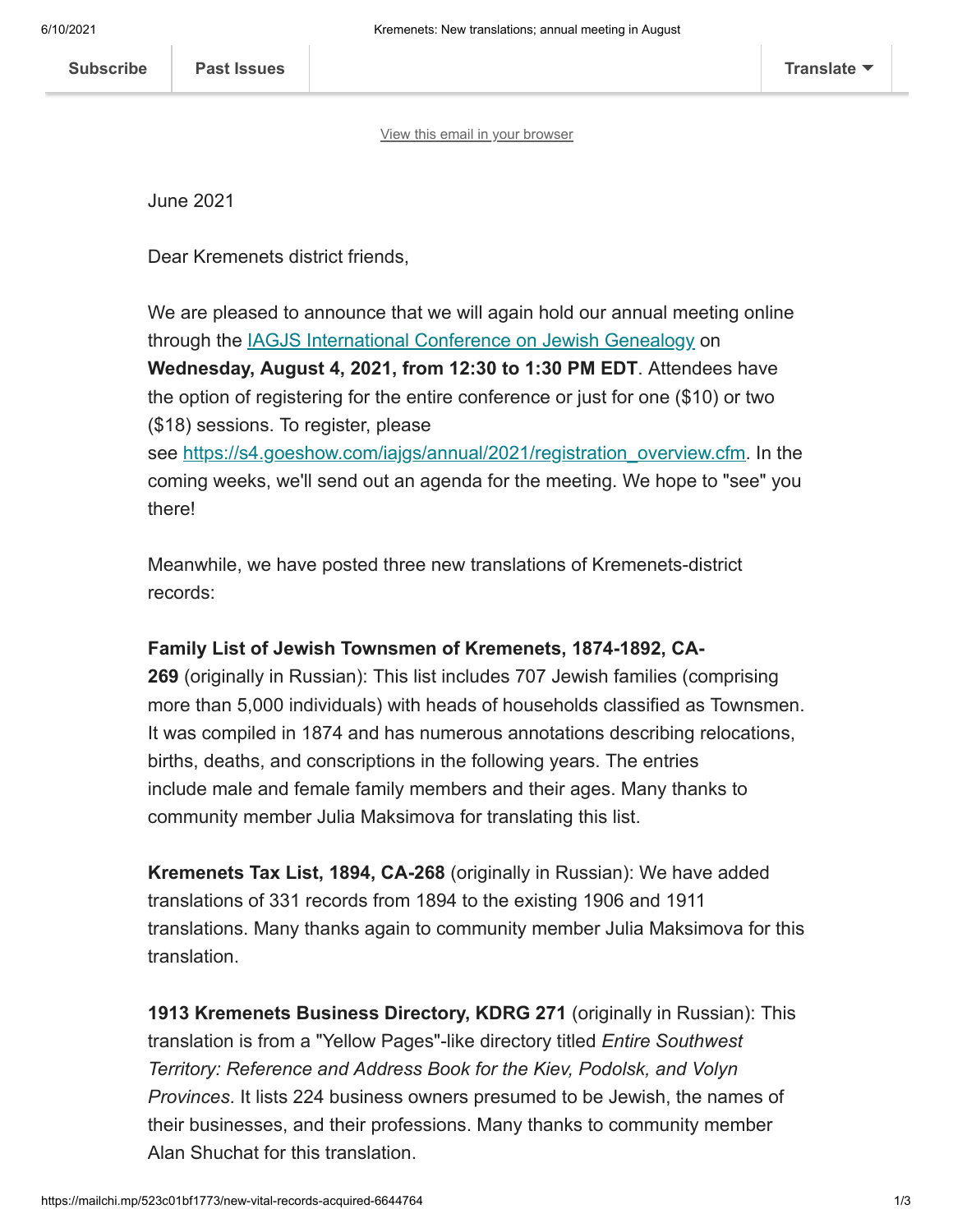[View this email in your browser](https://mailchi.mp/523c01bf1773/new-vital-records-acquired-6644764?e=[UNIQID])

June 2021

Dear Kremenets district friends,

We are pleased to announce that we will again hold our annual meeting online through the [IAGJS International Conference on Jewish Genealogy](https://s4.goeshow.com/iajgs/annual/2021/sig_bof.cfm) on **Wednesday, August 4, 2021, from 12:30 to 1:30 PM EDT**. Attendees have the option of registering for the entire conference or just for one (\$10) or two (\$18) sessions. To register, please

see [https://s4.goeshow.com/iajgs/annual/2021/registration\\_overview.cfm](https://s4.goeshow.com/iajgs/annual/2021/registration_overview.cfm%C2%A0). In the coming weeks, we'll send out an agenda for the meeting. We hope to "see" you there!

Meanwhile, we have posted three new translations of Kremenets-district records:

## **Family List of Jewish Townsmen of Kremenets, 1874-1892, CA-**

**269** (originally in Russian): This list includes 707 Jewish families (comprising more than 5,000 individuals) with heads of households classified as Townsmen. It was compiled in 1874 and has numerous annotations describing relocations, births, deaths, and conscriptions in the following years. The entries include male and female family members and their ages. Many thanks to community member Julia Maksimova for translating this list.

**Kremenets Tax List, 1894, CA-268** (originally in Russian): We have added translations of 331 records from 1894 to the existing 1906 and 1911 translations. Many thanks again to community member Julia Maksimova for this translation.

**1913 Kremenets Business Directory, KDRG 271** (originally in Russian): This translation is from a "Yellow Pages"-like directory titled *Entire Southwest Territory: Reference and Address Book for the Kiev, Podolsk, and Volyn Provinces*. It lists 224 business owners presumed to be Jewish, the names of their businesses, and their professions. Many thanks to community member Alan Shuchat for this translation.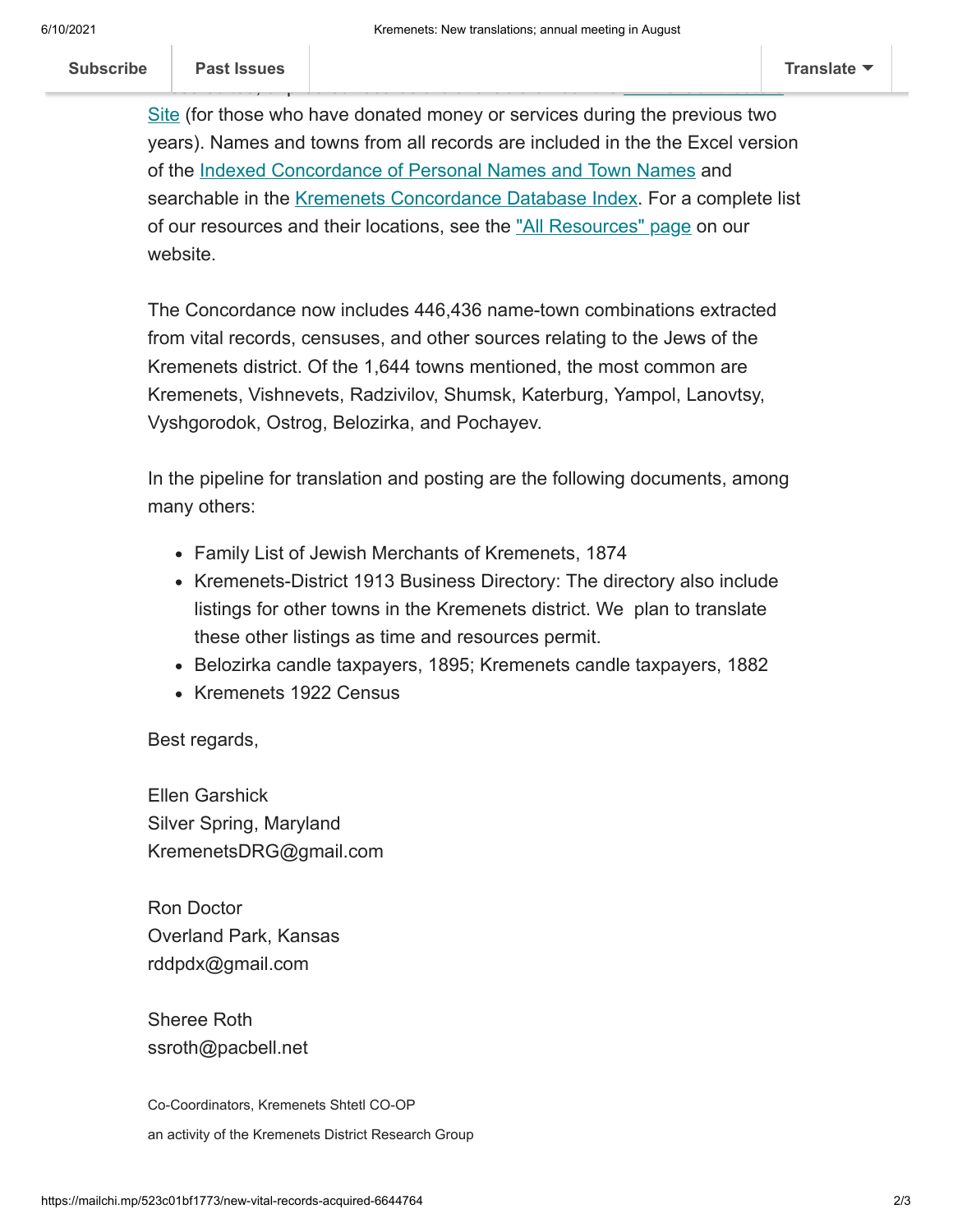Site (for those who have donated money or services during the previous two years). Names and towns from all records are included in the the Excel version of the [Indexed Concordance of Personal Names and Town Names](http://www.kehilalinks.jewishgen.org/Kremenets/web-pages/master-surnames.html) and searchable in the [Kremenets Concordance Database Index.](https://kehilalinks.jewishgen.org/Kremenets/web-pages/database/krem_search_frm.html) For a complete list of our resources and their locations, see the ["All Resources" page](https://kehilalinks.jewishgen.org/Kremenets/web-pages/all-resources.html) on our website.

[These edited, unproofed records are available on our the KDRG Contributors](https://sites.google.com/site/kdrgcontributors/)

The Concordance now includes 446,436 name-town combinations extracted from vital records, censuses, and other sources relating to the Jews of the Kremenets district. Of the 1,644 towns mentioned, the most common are Kremenets, Vishnevets, Radzivilov, Shumsk, Katerburg, Yampol, Lanovtsy, Vyshgorodok, Ostrog, Belozirka, and Pochayev.

In the pipeline for translation and posting are the following documents, among many others:

- Family List of Jewish Merchants of Kremenets, 1874
- Kremenets-District 1913 Business Directory: The directory also include listings for other towns in the Kremenets district. We plan to translate these other listings as time and resources permit.
- Belozirka candle taxpayers, 1895; Kremenets candle taxpayers, 1882
- Kremenets 1922 Census

Best regards,

Ellen Garshick Silver Spring, Maryland KremenetsDRG@gmail.com

Ron Doctor Overland Park, Kansas rddpdx@gmail.com

Sheree Roth ssroth@pacbell.net

Co-Coordinators, Kremenets Shtetl CO-OP an activity of the Kremenets District Research Group